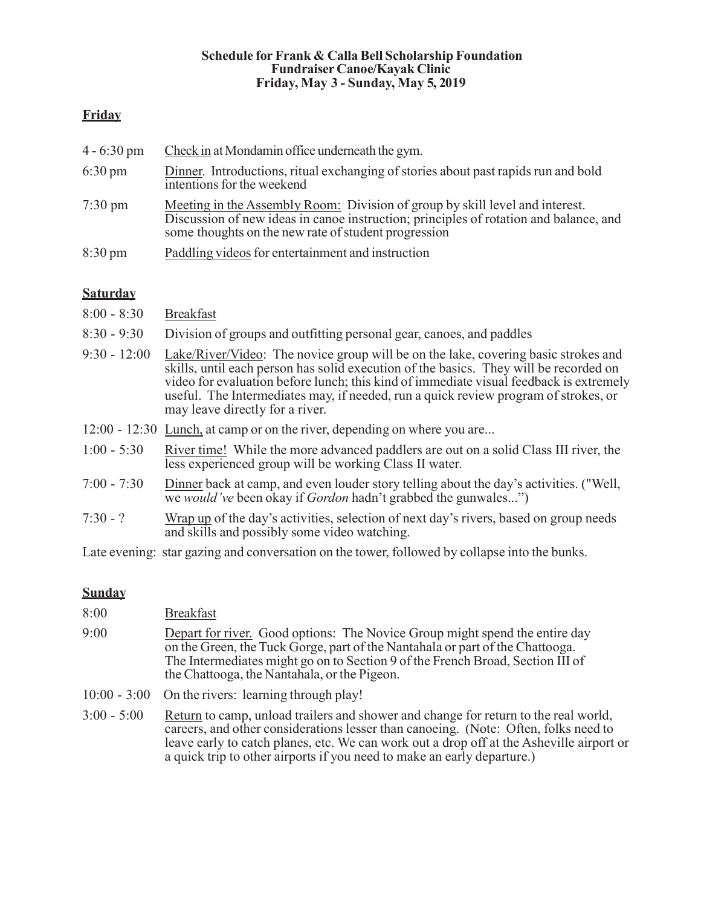#### Schedule for Frank & Calla Bell Scholarship Foundation Fundraiser Canoe/Kayak Clinic Friday, May 3 - Sunday, May 5, 2019

## **Friday**

| $4 - 6:30 \text{ pm}$ | Check in at Mondamin office underneath the gym.                                                                                                                                                                               |  |
|-----------------------|-------------------------------------------------------------------------------------------------------------------------------------------------------------------------------------------------------------------------------|--|
| $6:30 \text{ pm}$     | Dinner. Introductions, ritual exchanging of stories about past rapids run and bold<br>intentions for the weekend                                                                                                              |  |
| $7:30 \text{ pm}$     | Meeting in the Assembly Room: Division of group by skill level and interest.<br>Discussion of new ideas in canoe instruction; principles of rotation and balance, and<br>some thoughts on the new rate of student progression |  |
| $8:30 \text{ pm}$     | Paddling videos for entertainment and instruction                                                                                                                                                                             |  |

### **Saturday**

- 8:00 8:30 Breakfast
- 8:30 9:30 Division of groups and outfitting personal gear, canoes, and paddles
- 9:30 12:00 Lake/River/Video: The novice group will be on the lake, covering basic strokes and skills, until each person has solid execution of the basics. They will be recorded on video for evaluation before lunch; this kind of immediate visual feedback is extremely useful. The Intermediates may, if needed, run a quick review program of strokes, or may leave directly for a river.
- 12:00 12:30 Lunch, at camp or on the river, depending on where you are...
- 1:00 5:30 River time! While the more advanced paddlers are out on a solid Class III river, the less experienced group will be working Class II water.
- 7:00 7:30 Dinner back at camp, and even louder story telling about the day's activities. ("Well, we *would've* been okay if *Gordon* hadn't grabbed the gunwales...")
- 7:30 ? Wrap up of the day's activities, selection of next day's rivers, based on group needs and skills and possibly some video watching.

Late evening: star gazing and conversation on the tower, followed by collapse into the bunks.

#### **Sunday**

| 8:00 | <b>Breakfast</b>                                                                                                                                                                                                                                                                               |
|------|------------------------------------------------------------------------------------------------------------------------------------------------------------------------------------------------------------------------------------------------------------------------------------------------|
| 9:00 | Depart for river. Good options: The Novice Group might spend the entire day<br>on the Green, the Tuck Gorge, part of the Nantahala or part of the Chattooga.<br>The Intermediates might go on to Section 9 of the French Broad, Section III of<br>the Chattooga, the Nantahala, or the Pigeon. |
|      | 10:00 - 3:00 On the rivers: learning through play!                                                                                                                                                                                                                                             |
|      |                                                                                                                                                                                                                                                                                                |

3:00 - 5:00 Return to camp, unload trailers and shower and change for return to the real world, careers, and other considerations lesser than canoeing. (Note: Often, folks need to leave early to catch planes, etc. We can work out a drop off at the Asheville airport or a quick trip to other airports if you need to make an early departure.)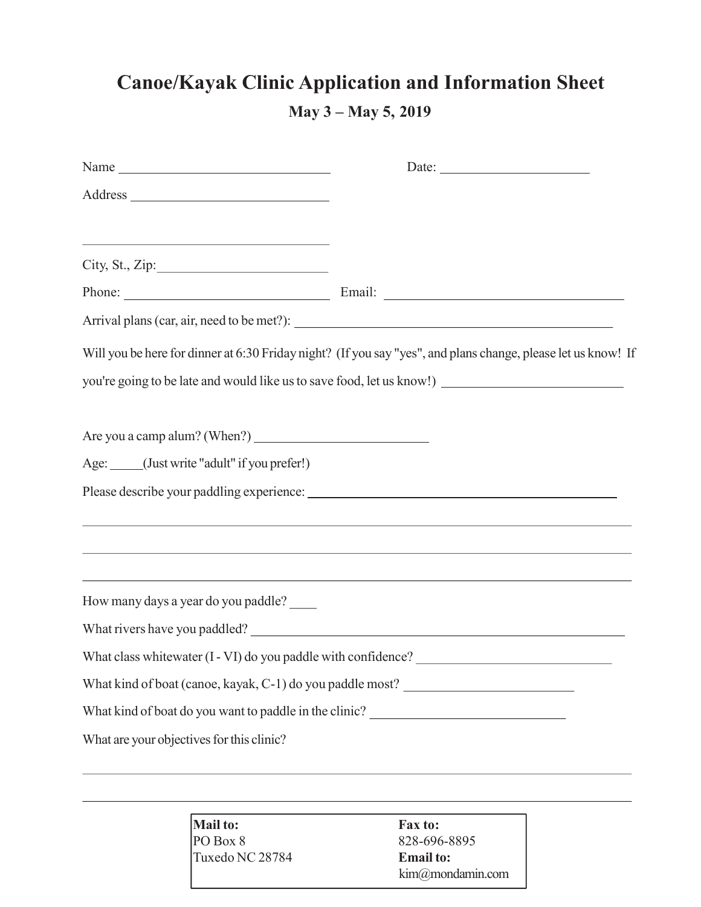# Canoe/Kayak Clinic Application and Information Sheet May 3 – May 5, 2019

| <u> 1989 - Johann Barbara, martin amerikan basal dan berasal dalam basal dalam basal dalam basal dalam basal dala</u> |                                                                                                               |
|-----------------------------------------------------------------------------------------------------------------------|---------------------------------------------------------------------------------------------------------------|
| City, St., Zip:                                                                                                       |                                                                                                               |
|                                                                                                                       | Phone: Email: Email:                                                                                          |
|                                                                                                                       |                                                                                                               |
|                                                                                                                       | Will you be here for dinner at 6:30 Friday night? (If you say "yes", and plans change, please let us know! If |
|                                                                                                                       | you're going to be late and would like us to save food, let us know!) _____________________________           |
|                                                                                                                       |                                                                                                               |
| Age: _____(Just write "adult" if you prefer!)                                                                         |                                                                                                               |
|                                                                                                                       |                                                                                                               |
|                                                                                                                       |                                                                                                               |
| How many days a year do you paddle?                                                                                   |                                                                                                               |
|                                                                                                                       |                                                                                                               |
|                                                                                                                       |                                                                                                               |
|                                                                                                                       | What kind of boat (canoe, kayak, C-1) do you paddle most? _______________________                             |
| What kind of boat do you want to paddle in the clinic? __________________________                                     |                                                                                                               |
| What are your objectives for this clinic?                                                                             |                                                                                                               |
|                                                                                                                       |                                                                                                               |

Mail to: Fax to:<br>PO Box 8 828-696 Tuxedo NC 28784 **Email to:** 

828-696-8895 kim@mondamin.com